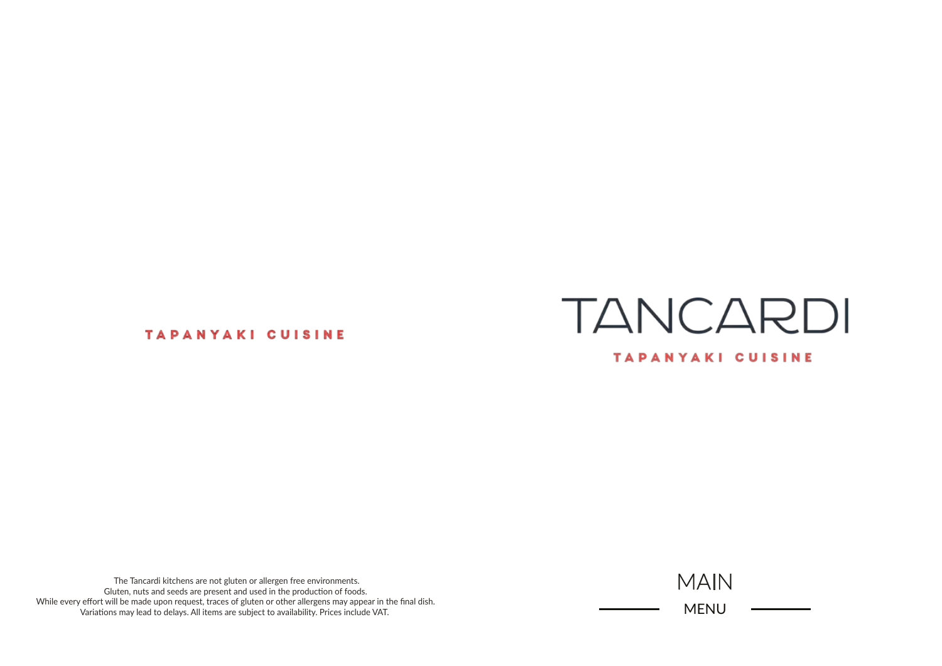# **TANCARDI** TAPANYAKI CUISINE

### **TAPANYAKI CUISINE**

The Tancardi kitchens are not gluten or allergen free environments. Gluten, nuts and seeds are present and used in the production of foods. While every effort will be made upon request, traces of gluten or other allergens may appear in the final dish. Variations may lead to delays. All items are subject to availability. Prices include VAT.

MAIN MENU